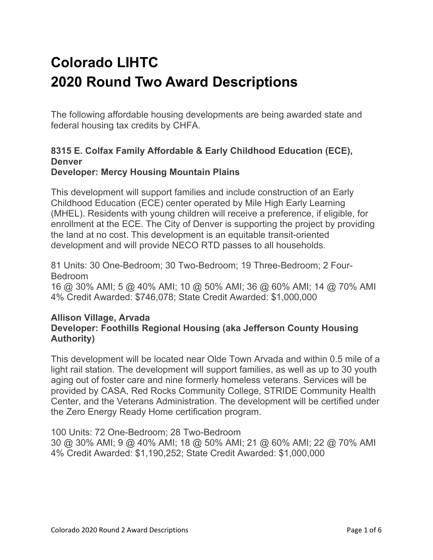# **Colorado LIHTC 2020 Round Two Award Descriptions**

The following affordable housing developments are being awarded state and federal housing tax credits by CHFA.

#### **8315 E. Colfax Family Affordable & Early Childhood Education (ECE), Denver Developer: Mercy Housing Mountain Plains**

This development will support families and include construction of an Early Childhood Education (ECE) center operated by Mile High Early Learning (MHEL). Residents with young children will receive a preference, if eligible, for enrollment at the ECE. The City of Denver is supporting the project by providing the land at no cost. This development is an equitable transit-oriented development and will provide NECO RTD passes to all households.

81 Units: 30 One-Bedroom; 30 Two-Bedroom; 19 Three-Bedroom; 2 Four-Bedroom

16 @ 30% AMI; 5 @ 40% AMI; 10 @ 50% AMI; 36 @ 60% AMI; 14 @ 70% AMI 4% Credit Awarded: \$746,078; State Credit Awarded: \$1,000,000

#### **Allison Village, Arvada Developer: Foothills Regional Housing (aka Jefferson County Housing Authority)**

This development will be located near Olde Town Arvada and within 0.5 mile of a light rail station. The development will support families, as well as up to 30 youth aging out of foster care and nine formerly homeless veterans. Services will be provided by CASA, Red Rocks Community College, STRIDE Community Health Center, and the Veterans Administration. The development will be certified under the Zero Energy Ready Home certification program.

100 Units: 72 One-Bedroom; 28 Two-Bedroom

30 @ 30% AMI; 9 @ 40% AMI; 18 @ 50% AMI; 21 @ 60% AMI; 22 @ 70% AMI 4% Credit Awarded: \$1,190,252; State Credit Awarded: \$1,000,000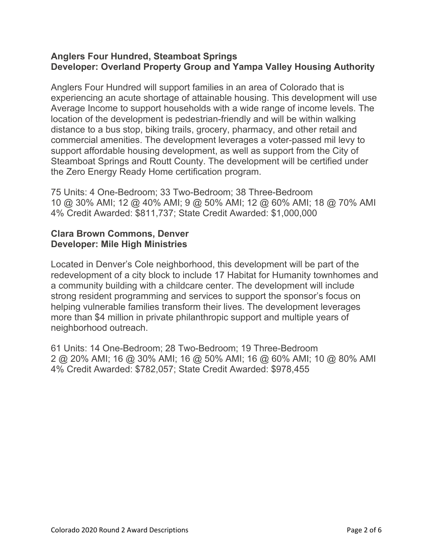#### **Anglers Four Hundred, Steamboat Springs Developer: Overland Property Group and Yampa Valley Housing Authority**

Anglers Four Hundred will support families in an area of Colorado that is experiencing an acute shortage of attainable housing. This development will use Average Income to support households with a wide range of income levels. The location of the development is pedestrian-friendly and will be within walking distance to a bus stop, biking trails, grocery, pharmacy, and other retail and commercial amenities. The development leverages a voter-passed mil levy to support affordable housing development, as well as support from the City of Steamboat Springs and Routt County. The development will be certified under the Zero Energy Ready Home certification program.

75 Units: 4 One-Bedroom; 33 Two-Bedroom; 38 Three-Bedroom 10 @ 30% AMI; 12 @ 40% AMI; 9 @ 50% AMI; 12 @ 60% AMI; 18 @ 70% AMI 4% Credit Awarded: \$811,737; State Credit Awarded: \$1,000,000

### **Clara Brown Commons, Denver Developer: Mile High Ministries**

Located in Denver's Cole neighborhood, this development will be part of the redevelopment of a city block to include 17 Habitat for Humanity townhomes and a community building with a childcare center. The development will include strong resident programming and services to support the sponsor's focus on helping vulnerable families transform their lives. The development leverages more than \$4 million in private philanthropic support and multiple years of neighborhood outreach.

61 Units: 14 One-Bedroom; 28 Two-Bedroom; 19 Three-Bedroom 2 @ 20% AMI; 16 @ 30% AMI; 16 @ 50% AMI; 16 @ 60% AMI; 10 @ 80% AMI 4% Credit Awarded: \$782,057; State Credit Awarded: \$978,455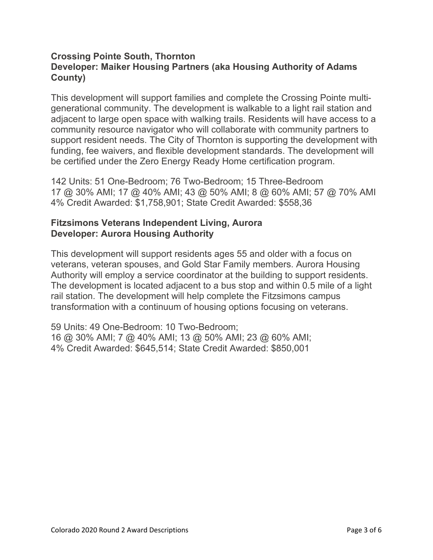## **Crossing Pointe South, Thornton Developer: Maiker Housing Partners (aka Housing Authority of Adams County)**

This development will support families and complete the Crossing Pointe multigenerational community. The development is walkable to a light rail station and adjacent to large open space with walking trails. Residents will have access to a community resource navigator who will collaborate with community partners to support resident needs. The City of Thornton is supporting the development with funding, fee waivers, and flexible development standards. The development will be certified under the Zero Energy Ready Home certification program.

142 Units: 51 One-Bedroom; 76 Two-Bedroom; 15 Three-Bedroom 17 @ 30% AMI; 17 @ 40% AMI; 43 @ 50% AMI; 8 @ 60% AMI; 57 @ 70% AMI 4% Credit Awarded: \$1,758,901; State Credit Awarded: \$558,36

#### **Fitzsimons Veterans Independent Living, Aurora Developer: Aurora Housing Authority**

This development will support residents ages 55 and older with a focus on veterans, veteran spouses, and Gold Star Family members. Aurora Housing Authority will employ a service coordinator at the building to support residents. The development is located adjacent to a bus stop and within 0.5 mile of a light rail station. The development will help complete the Fitzsimons campus transformation with a continuum of housing options focusing on veterans.

59 Units: 49 One-Bedroom: 10 Two-Bedroom; 16 @ 30% AMI; 7 @ 40% AMI; 13 @ 50% AMI; 23 @ 60% AMI; 4% Credit Awarded: \$645,514; State Credit Awarded: \$850,001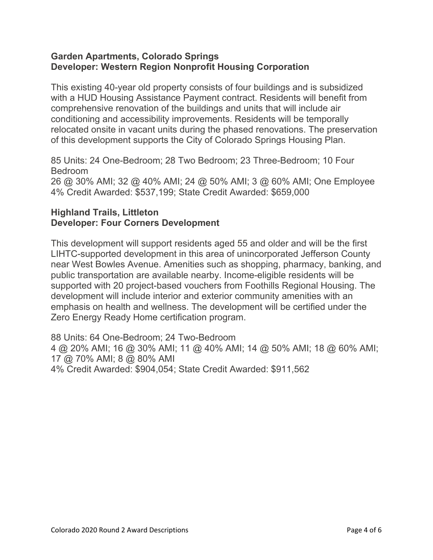## **Garden Apartments, Colorado Springs Developer: Western Region Nonprofit Housing Corporation**

This existing 40-year old property consists of four buildings and is subsidized with a HUD Housing Assistance Payment contract. Residents will benefit from comprehensive renovation of the buildings and units that will include air conditioning and accessibility improvements. Residents will be temporally relocated onsite in vacant units during the phased renovations. The preservation of this development supports the City of Colorado Springs Housing Plan.

85 Units: 24 One-Bedroom; 28 Two Bedroom; 23 Three-Bedroom; 10 Four Bedroom 26 @ 30% AMI; 32 @ 40% AMI; 24 @ 50% AMI; 3 @ 60% AMI; One Employee 4% Credit Awarded: \$537,199; State Credit Awarded: \$659,000

## **Highland Trails, Littleton Developer: Four Corners Development**

This development will support residents aged 55 and older and will be the first LIHTC-supported development in this area of unincorporated Jefferson County near West Bowles Avenue. Amenities such as shopping, pharmacy, banking, and public transportation are available nearby. Income-eligible residents will be supported with 20 project-based vouchers from Foothills Regional Housing. The development will include interior and exterior community amenities with an emphasis on health and wellness. The development will be certified under the Zero Energy Ready Home certification program.

88 Units: 64 One-Bedroom; 24 Two-Bedroom 4 @ 20% AMI; 16 @ 30% AMI; 11 @ 40% AMI; 14 @ 50% AMI; 18 @ 60% AMI; 17 @ 70% AMI; 8 @ 80% AMI 4% Credit Awarded: \$904,054; State Credit Awarded: \$911,562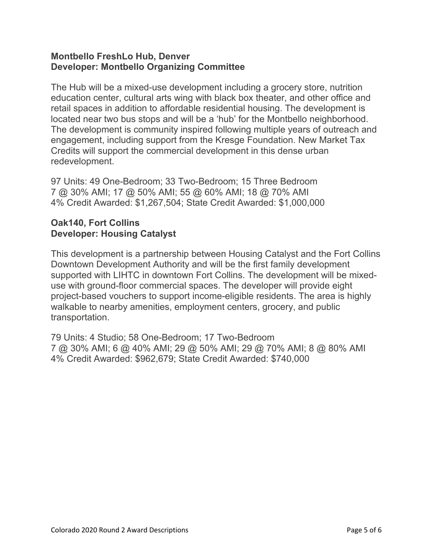### **Montbello FreshLo Hub, Denver Developer: Montbello Organizing Committee**

The Hub will be a mixed-use development including a grocery store, nutrition education center, cultural arts wing with black box theater, and other office and retail spaces in addition to affordable residential housing. The development is located near two bus stops and will be a 'hub' for the Montbello neighborhood. The development is community inspired following multiple years of outreach and engagement, including support from the Kresge Foundation. New Market Tax Credits will support the commercial development in this dense urban redevelopment.

97 Units: 49 One-Bedroom; 33 Two-Bedroom; 15 Three Bedroom 7 @ 30% AMI; 17 @ 50% AMI; 55 @ 60% AMI; 18 @ 70% AMI 4% Credit Awarded: \$1,267,504; State Credit Awarded: \$1,000,000

### **Oak140, Fort Collins Developer: Housing Catalyst**

This development is a partnership between Housing Catalyst and the Fort Collins Downtown Development Authority and will be the first family development supported with LIHTC in downtown Fort Collins. The development will be mixeduse with ground-floor commercial spaces. The developer will provide eight project-based vouchers to support income-eligible residents. The area is highly walkable to nearby amenities, employment centers, grocery, and public transportation.

79 Units: 4 Studio; 58 One-Bedroom; 17 Two-Bedroom 7 @ 30% AMI; 6 @ 40% AMI; 29 @ 50% AMI; 29 @ 70% AMI; 8 @ 80% AMI 4% Credit Awarded: \$962,679; State Credit Awarded: \$740,000